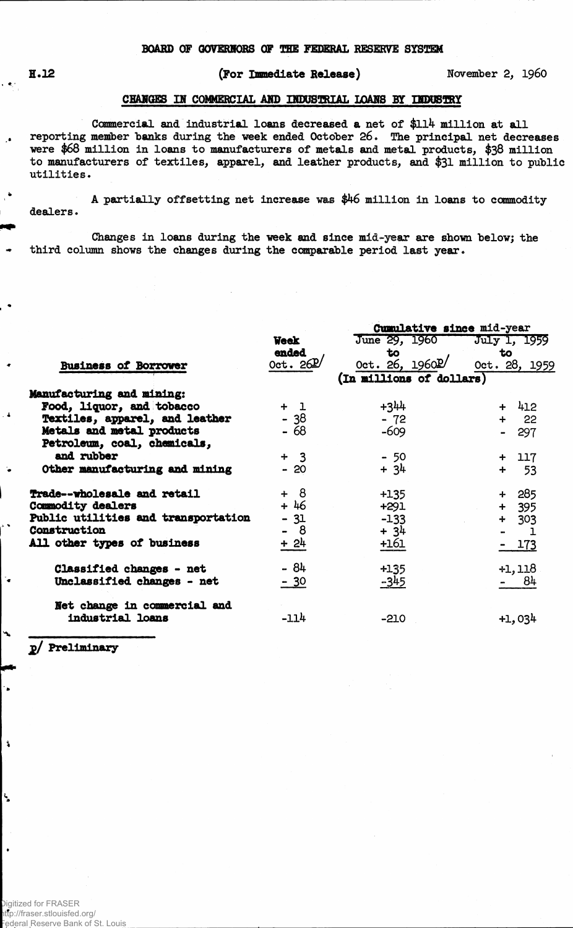$\epsilon \in \mathbb{R}^2$ 

 $\cdot$ 

## **1.12 (For Immediate Release) November** *2,* **i960**

## **CHARGES IH COMMERCIAL AND HOOSTOIAL LOANS BY IMBBBgff**

**Commercial and industrial loans decreased a net of \$11% million at all reporting member "banks during the week ended October 26. The principal net decreases were \$68 million in loans to manufacturers of metals and metal products, \$38 million to manufacturers of textiles, apparel, and leather products, and \$31 million to public utilities.** 

**A partially offsetting net increase was \$46 million in loans to commodity dealers.** 

**Changes in loans during the week and since mid-year are shown below; the third column shows the changes during the comparable period last year.**

|                                     |             | Cumulative since mid-year    |                               |  |  |  |  |  |
|-------------------------------------|-------------|------------------------------|-------------------------------|--|--|--|--|--|
|                                     | <b>Week</b> | June 29, 1960                | July 1, 1959                  |  |  |  |  |  |
|                                     | ended       | to                           | to                            |  |  |  |  |  |
| <b>Business of Borrower</b>         | 0ct.26L     | 0ct. 26, $1960$ <sup>D</sup> | Oct. 28, 1959                 |  |  |  |  |  |
|                                     |             | (In millions of dollars)     |                               |  |  |  |  |  |
| Manufacturing and mining:           |             |                              |                               |  |  |  |  |  |
| Food, liquor, and tobacco           | $+1$        | $+344$                       | $+$ 412                       |  |  |  |  |  |
| Textiles, apparel, and leather      | $-38$       | $-72$                        | $+ 22$                        |  |  |  |  |  |
| Metals and metal products           | $-68$       | $-609$                       | 297<br>$\blacksquare$         |  |  |  |  |  |
| Petroleum, coal, chemicals,         |             |                              |                               |  |  |  |  |  |
| and rubber                          | $+3$        | $-50$                        | $+ 117$                       |  |  |  |  |  |
| Other manufacturing and mining      | $-20$       | $+34$                        | $+ 53$                        |  |  |  |  |  |
| Trade--wholesale and retail         | $+ 8$       | $+135$                       | $+285$                        |  |  |  |  |  |
| Commodity dealers                   | $+46$       | $+291$                       | $+ 395$                       |  |  |  |  |  |
| Public utilities and transportation | $-31$       | $-133$                       | $+ 303$                       |  |  |  |  |  |
| <b>Construction</b>                 | -8          | $+34$                        | $\mathbf 1$<br>$\blacksquare$ |  |  |  |  |  |
| All other types of business         | $+24$       | 161                          | $-173$                        |  |  |  |  |  |
| Classified changes - net            | $-84$       | $+135$                       | $+1,118$                      |  |  |  |  |  |
| Unclassified changes - net          | $-30$       | $-345$                       | 84                            |  |  |  |  |  |
| Net change in commercial and        |             |                              |                               |  |  |  |  |  |
| industrial loans                    | $-114$      | $-210$                       | $+1,034$                      |  |  |  |  |  |
|                                     |             |                              |                               |  |  |  |  |  |

**2/ Preliminary**

٠.

 $\mathbf{1}$ 

L.

 $\bullet$ 

Digitized for FRASER http://fraser.stlouisfed.org/ Federal Reserve Bank of St. Louis